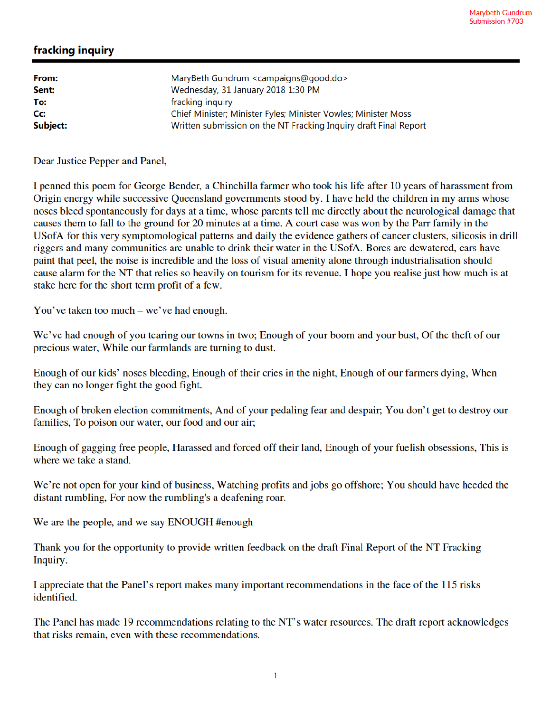## fracking inquiry

| From:            | MaryBeth Gundrum <campaigns@good.do></campaigns@good.do>         |
|------------------|------------------------------------------------------------------|
| Sent:            | Wednesday, 31 January 2018 1:30 PM                               |
| To:              | fracking inquiry                                                 |
| $C_{\mathbf{C}}$ | Chief Minister; Minister Fyles; Minister Vowles; Minister Moss   |
| Subject:         | Written submission on the NT Fracking Inquiry draft Final Report |

Dear Justice Pepper and Panel,

I penned this poem for George Bender, a Chinchilla farmer who took his life after 10 years of harassment from Origin energy while successive Queensland governments stood by. I have held the children in my arms whose noses bleed spontaneously for days at a time, whose parents tell me directly about the neurological damage that causes them to fall to the ground for 20 minutes at a time. A court case was won by the Parr family in the USofA for this very symptomological patterns and daily the evidence gathers of cancer clusters, silicosis in drill riggers and many communities are unable to drink their water in the USofA. Bores are dewatered, cars have paint that peel, the noise is incredible and the loss of visual amenity alone through industrialisation should cause alarm for the NT that relies so heavily on tourism for its revenue. I hope you realise just how much is at stake here for the short term profit of a few.

You've taken too much – we've had enough.

We've had enough of you tearing our towns in two; Enough of your boom and your bust, Of the theft of our precious water, While our farmlands are turning to dust.

Enough of our kids' noses bleeding, Enough of their cries in the night, Enough of our farmers dying, When they can no longer fight the good fight.

Enough of broken election commitments, And of your pedaling fear and despair; You don't get to destroy our families, To poison our water, our food and our air;

Enough of gagging free people, Harassed and forced off their land, Enough of your fuelish obsessions, This is where we take a stand.

We're not open for your kind of business, Watching profits and jobs go offshore; You should have heeded the distant rumbling, For now the rumbling's a deafening roar.

We are the people, and we say ENOUGH #enough

Thank you for the opportunity to provide written feedback on the draft Final Report of the NT Fracking Inquiry.

I appreciate that the Panel's report makes many important recommendations in the face of the 115 risks identified.

The Panel has made 19 recommendations relating to the NT's water resources. The draft report acknowledges that risks remain, even with these recommendations.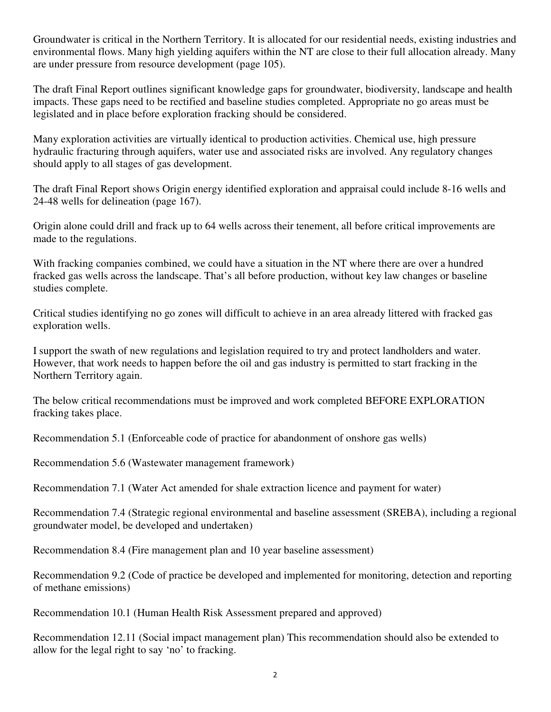Groundwater is critical in the Northern Territory. It is allocated for our residential needs, existing industries and environmental flows. Many high yielding aquifers within the NT are close to their full allocation already. Many are under pressure from resource development (page 105).

The draft Final Report outlines significant knowledge gaps for groundwater, biodiversity, landscape and health impacts. These gaps need to be rectified and baseline studies completed. Appropriate no go areas must be legislated and in place before exploration fracking should be considered.

Many exploration activities are virtually identical to production activities. Chemical use, high pressure hydraulic fracturing through aquifers, water use and associated risks are involved. Any regulatory changes should apply to all stages of gas development.

The draft Final Report shows Origin energy identified exploration and appraisal could include 8-16 wells and 24-48 wells for delineation (page 167).

Origin alone could drill and frack up to 64 wells across their tenement, all before critical improvements are made to the regulations.

With fracking companies combined, we could have a situation in the NT where there are over a hundred fracked gas wells across the landscape. That's all before production, without key law changes or baseline studies complete.

Critical studies identifying no go zones will difficult to achieve in an area already littered with fracked gas exploration wells.

I support the swath of new regulations and legislation required to try and protect landholders and water. However, that work needs to happen before the oil and gas industry is permitted to start fracking in the Northern Territory again.

The below critical recommendations must be improved and work completed BEFORE EXPLORATION fracking takes place.

Recommendation 5.1 (Enforceable code of practice for abandonment of onshore gas wells)

Recommendation 5.6 (Wastewater management framework)

Recommendation 7.1 (Water Act amended for shale extraction licence and payment for water)

Recommendation 7.4 (Strategic regional environmental and baseline assessment (SREBA), including a regional groundwater model, be developed and undertaken)

Recommendation 8.4 (Fire management plan and 10 year baseline assessment)

Recommendation 9.2 (Code of practice be developed and implemented for monitoring, detection and reporting of methane emissions)

Recommendation 10.1 (Human Health Risk Assessment prepared and approved)

Recommendation 12.11 (Social impact management plan) This recommendation should also be extended to allow for the legal right to say 'no' to fracking.